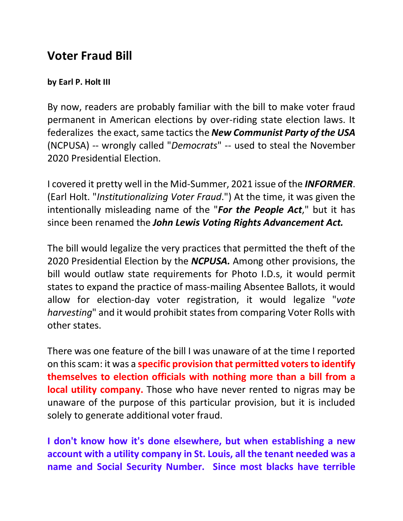## **Voter Fraud Bill**

## **by Earl P. Holt III**

By now, readers are probably familiar with the bill to make voter fraud permanent in American elections by over-riding state election laws. It federalizes the exact, same tactics the **New Communist Party of the USA** (NCPUSA) -- wrongly called "*Democrats*" -- used to steal the November 2020 Presidential Election.

I covered it pretty well in the Mid-Summer, 2021 issue of the *INFORMER*. (Earl Holt. "*Institutionalizing Voter Fraud*.") At the time, it was given the intentionally misleading name of the "*For the People Act*," but it has since been renamed the *John Lewis Voting Rights Advancement Act.* 

The bill would legalize the very practices that permitted the theft of the 2020 Presidential Election by the *NCPUSA.* Among other provisions, the bill would outlaw state requirements for Photo I.D.s, it would permit states to expand the practice of mass-mailing Absentee Ballots, it would allow for election-day voter registration, it would legalize "*vote harvesting*" and it would prohibit states from comparing Voter Rolls with other states.

There was one feature of the bill I was unaware of at the time I reported on this scam: it was a **specific provision that permitted voters to identify themselves to election officials with nothing more than a bill from a local utility company.** Those who have never rented to nigras may be unaware of the purpose of this particular provision, but it is included solely to generate additional voter fraud.

**I don't know how it's done elsewhere, but when establishing a new account with a utility company in St. Louis, all the tenant needed was a name and Social Security Number. Since most blacks have terrible**